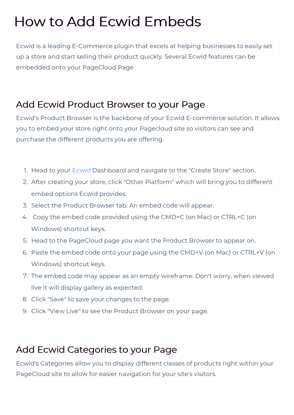# How to Add Ecwid Embeds

Ecwid is a leading E-Commerce plugin that excels at helping businesses to easily set up a store and start selling their product quickly. Several Ecwid features can be embedded onto your PageCloud Page

### Add Ecwid Product Browser to your Page

Ecwid's Product Browser is the backbone of your Ecwid E-commerce solution. It allows you to embed your store right onto your Pagecloud site so visitors can see and purchase the different products you are offering.

- 1. Head to your Ecwid Dashboard and navigate to the "Create Store" section.
- 2. After creating your store, click "Other Platform" which will bring you to different embed options Ecwid provides.
- 3. Select the Product Browser tab. An embed code will appear.
- 4. Copy the embed code provided using the CMD+C (on Mac) or CTRL+C (on Windows) shortcut keys.
- 5. Head to the PageCloud page you want the Product Browser to appear on.
- 6. Paste the embed code onto your page using the CMD+V (on Mac) or CTRL+V (on Windows) shortcut keys.
- 7. The embed code may appear as an empty wireframe. Don't worry, when viewed live it will display gallery as expected.
- 8. Click "Save" to save your changes to the page.
- 9. Click "View Live" to see the Product Browser on your page.

### Add Ecwid Categories to your Page

Ecwid's Categories allow you to display different classes of products right within your PageCloud site to allow for easier navigation for your site's visitors.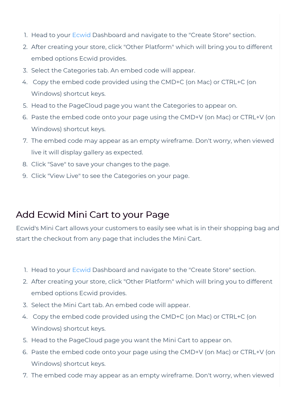- 1. Head to your Ecwid Dashboard and navigate to the "Create Store" section.
- 2. After creating your store, click "Other Platform" which will bring you to different embed options Ecwid provides.
- 3. Select the Categories tab. An embed code will appear.
- 4. Copy the embed code provided using the CMD+C (on Mac) or CTRL+C (on Windows) shortcut keys.
- 5. Head to the PageCloud page you want the Categories to appear on.
- 6. Paste the embed code onto your page using the CMD+V (on Mac) or CTRL+V (on Windows) shortcut keys.
- 7. The embed code may appear as an empty wireframe. Don't worry, when viewed live it will display gallery as expected.
- 8. Click "Save" to save your changes to the page.
- 9. Click "View Live" to see the Categories on your page.

## Add Ecwid Mini Cart to your Page

Ecwid's Mini Cart allows your customers to easily see what is in their shopping bag and start the checkout from any page that includes the Mini Cart.

- 1. Head to your Ecwid Dashboard and navigate to the "Create Store" section.
- 2. After creating your store, click "Other Platform" which will bring you to different embed options Ecwid provides.
- 3. Select the Mini Cart tab. An embed code will appear.
- 4. Copy the embed code provided using the CMD+C (on Mac) or CTRL+C (on Windows) shortcut keys.
- 5. Head to the PageCloud page you want the Mini Cart to appear on.
- 6. Paste the embed code onto your page using the CMD+V (on Mac) or CTRL+V (on Windows) shortcut keys.
- 7. The embed code may appear as an empty wireframe. Don't worry, when viewed